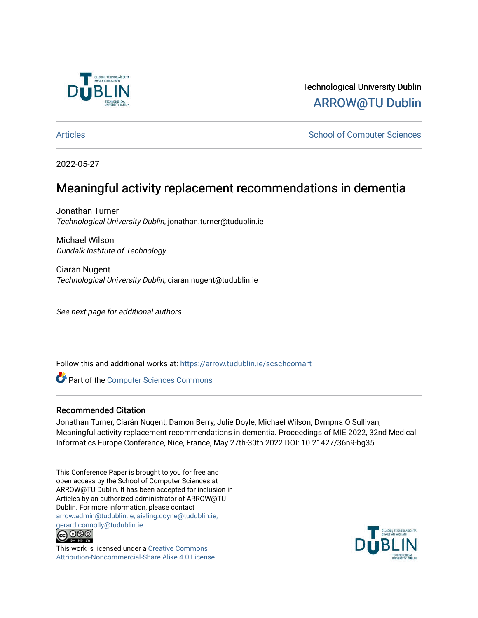

Technological University Dublin [ARROW@TU Dublin](https://arrow.tudublin.ie/) 

[Articles](https://arrow.tudublin.ie/scschcomart) **School of Computer Sciences** School of Computer Sciences

2022-05-27

## Meaningful activity replacement recommendations in dementia

Jonathan Turner Technological University Dublin, jonathan.turner@tudublin.ie

Michael Wilson Dundalk Institute of Technology

Ciaran Nugent Technological University Dublin, ciaran.nugent@tudublin.ie

See next page for additional authors

Follow this and additional works at: [https://arrow.tudublin.ie/scschcomart](https://arrow.tudublin.ie/scschcomart?utm_source=arrow.tudublin.ie%2Fscschcomart%2F153&utm_medium=PDF&utm_campaign=PDFCoverPages)

**Part of the [Computer Sciences Commons](http://network.bepress.com/hgg/discipline/142?utm_source=arrow.tudublin.ie%2Fscschcomart%2F153&utm_medium=PDF&utm_campaign=PDFCoverPages)** 

### Recommended Citation

Jonathan Turner, Ciarán Nugent, Damon Berry, Julie Doyle, Michael Wilson, Dympna O Sullivan, Meaningful activity replacement recommendations in dementia. Proceedings of MIE 2022, 32nd Medical Informatics Europe Conference, Nice, France, May 27th-30th 2022 DOI: 10.21427/36n9-bg35

This Conference Paper is brought to you for free and open access by the School of Computer Sciences at ARROW@TU Dublin. It has been accepted for inclusion in Articles by an authorized administrator of ARROW@TU Dublin. For more information, please contact [arrow.admin@tudublin.ie, aisling.coyne@tudublin.ie,](mailto:arrow.admin@tudublin.ie,%20aisling.coyne@tudublin.ie,%20gerard.connolly@tudublin.ie)  [gerard.connolly@tudublin.ie](mailto:arrow.admin@tudublin.ie,%20aisling.coyne@tudublin.ie,%20gerard.connolly@tudublin.ie).<br>@009



This work is licensed under a [Creative Commons](http://creativecommons.org/licenses/by-nc-sa/4.0/) [Attribution-Noncommercial-Share Alike 4.0 License](http://creativecommons.org/licenses/by-nc-sa/4.0/)

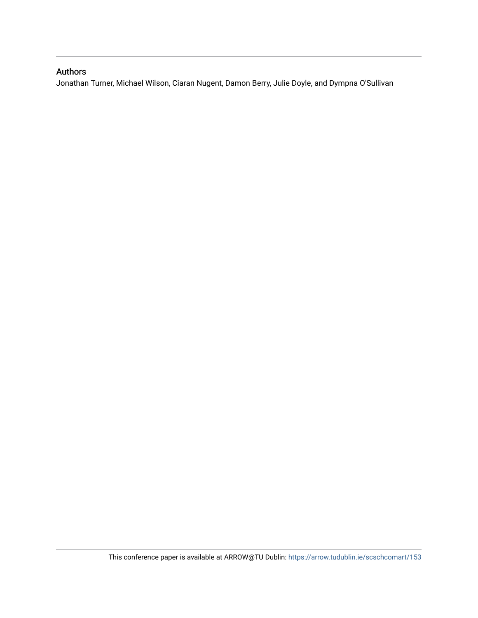### Authors

Jonathan Turner, Michael Wilson, Ciaran Nugent, Damon Berry, Julie Doyle, and Dympna O'Sullivan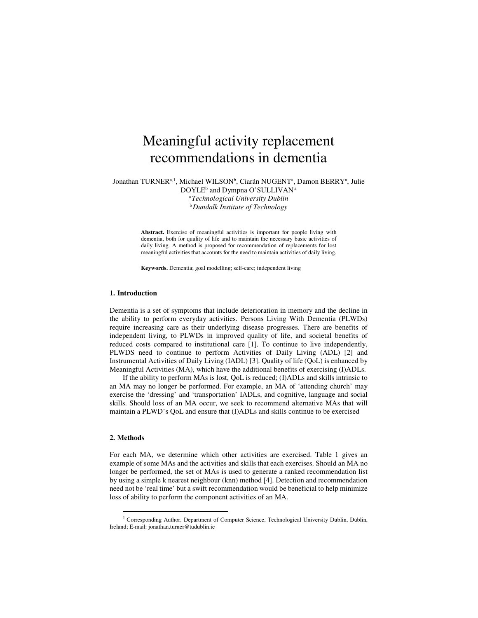# Meaningful activity replacement recommendations in dementia

Jonathan TURNER<sup>a, 1</sup>, Michael WILSON<sup>b</sup>, Ciarán NUGENT<sup>a</sup>, Damon BERRY<sup>a</sup>, Julie DOYLE<sup>b</sup> and Dympna O'SULLIVAN<sup>a</sup> <sup>a</sup>*Technological University Dublin*  <sup>b</sup>*Dundalk Institute of Technology* 

> **Abstract.** Exercise of meaningful activities is important for people living with dementia, both for quality of life and to maintain the necessary basic activities of daily living. A method is proposed for recommendation of replacements for lost meaningful activities that accounts for the need to maintain activities of daily living.

**Keywords.** Dementia; goal modelling; self-care; independent living

#### **1. Introduction**

Dementia is a set of symptoms that include deterioration in memory and the decline in the ability to perform everyday activities. Persons Living With Dementia (PLWDs) require increasing care as their underlying disease progresses. There are benefits of independent living, to PLWDs in improved quality of life, and societal benefits of reduced costs compared to institutional care [1]. To continue to live independently, PLWDS need to continue to perform Activities of Daily Living (ADL) [2] and Instrumental Activities of Daily Living (IADL) [3]. Quality of life (QoL) is enhanced by Meaningful Activities (MA), which have the additional benefits of exercising (I)ADLs.

If the ability to perform MAs is lost, QoL is reduced; (I)ADLs and skills intrinsic to an MA may no longer be performed. For example, an MA of 'attending church' may exercise the 'dressing' and 'transportation' IADLs, and cognitive, language and social skills. Should loss of an MA occur, we seek to recommend alternative MAs that will maintain a PLWD's QoL and ensure that (I)ADLs and skills continue to be exercised

#### **2. Methods**

<u>.</u>

For each MA, we determine which other activities are exercised. Table 1 gives an example of some MAs and the activities and skills that each exercises. Should an MA no longer be performed, the set of MAs is used to generate a ranked recommendation list by using a simple k nearest neighbour (knn) method [4]. Detection and recommendation need not be 'real time' but a swift recommendation would be beneficial to help minimize loss of ability to perform the component activities of an MA.

<sup>&</sup>lt;sup>1</sup> Corresponding Author, Department of Computer Science, Technological University Dublin, Dublin, Ireland; E-mail: jonathan.turner@tudublin.ie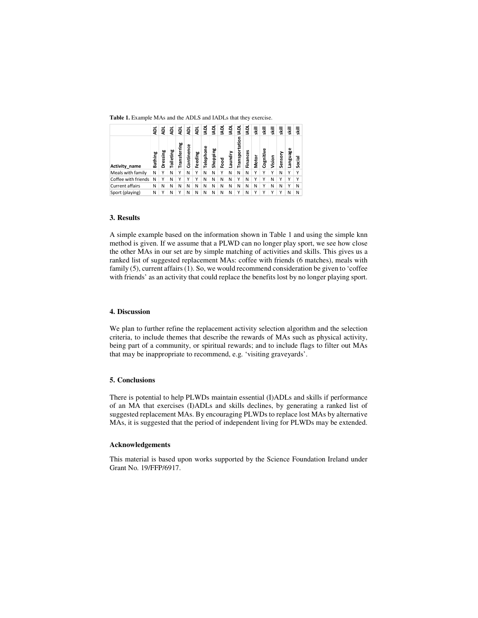**Table 1.** Example MAs and the ADLS and IADLs that they exercise.

|                                                                                                                                                                                                                                                                                                                                                                                                                                        | ą       | ā        | ā         | ā            | ą          | ą       | 횾         | 횾        | ā    | ā       | ā              | ā        | 퉣     | ₹.        | 콯      | 콯       | 훟        | 훟      |
|----------------------------------------------------------------------------------------------------------------------------------------------------------------------------------------------------------------------------------------------------------------------------------------------------------------------------------------------------------------------------------------------------------------------------------------|---------|----------|-----------|--------------|------------|---------|-----------|----------|------|---------|----------------|----------|-------|-----------|--------|---------|----------|--------|
| Activity_name                                                                                                                                                                                                                                                                                                                                                                                                                          | Bathing | Dressing | Toileting | Transferring | Continence | Feeding | Telephone | Shopping | Food | Laundry | Transportation | Finances | Motor | Cognitive | Vision | Sensory | Language | Social |
| Meals with family                                                                                                                                                                                                                                                                                                                                                                                                                      | N       | Υ        | N         | Υ            | N          | Υ       | N         | Ν        | Υ    | N       | N              | N        | Y     | Υ         | Υ      | N       | Υ        | Υ      |
| Coffee with friends                                                                                                                                                                                                                                                                                                                                                                                                                    | Ν       | Y        | N         | Υ            | Υ          | Υ       | N         | Ν        | Ν    | Ν       | Υ              | N        | Υ     | Υ         | N      | Υ       | Υ        | Υ      |
| Current affairs                                                                                                                                                                                                                                                                                                                                                                                                                        | Ν       | N        | Ν         | Ν            | Ν          | Ν       | Ν         | Ν        | Ν    | Ν       | Ν              | Ν        | Ν     | Υ         | Ν      | Ν       | Υ        | N      |
| Sport (playing)                                                                                                                                                                                                                                                                                                                                                                                                                        | N       | Y        | N         | Υ            | N          | Ν       | N         | Ν        | N    | N       | Υ              | N        | Y     | Y         | Y      | Y       | Ν        | N      |
| 3. Results<br>A simple example based on the information shown in Table 1 and<br>method is given. If we assume that a PLWD can no longer play s<br>the other MAs in our set are by simple matching of activities and<br>ranked list of suggested replacement MAs: coffee with friends (6<br>family (5), current affairs (1). So, we would recommend considera<br>with friends' as an activity that could replace the benefits lost by n |         |          |           |              |            |         |           |          |      |         |                |          |       |           |        |         |          |        |
| 4. Discussion                                                                                                                                                                                                                                                                                                                                                                                                                          |         |          |           |              |            |         |           |          |      |         |                |          |       |           |        |         |          |        |
| We plan to further refine the replacement activity selection algor<br>criteria, to include themes that describe the rewards of MAs suc<br>being part of a community, or spiritual rewards; and to include 1<br>that may be inappropriate to recommend, e.g. 'visiting graveyard                                                                                                                                                        |         |          |           |              |            |         |           |          |      |         |                |          |       |           |        |         |          |        |
| 5. Conclusions                                                                                                                                                                                                                                                                                                                                                                                                                         |         |          |           |              |            |         |           |          |      |         |                |          |       |           |        |         |          |        |
| There is potential to help PLWDs maintain essential (I)ADLs and<br>of an MA that exercises (I)ADLs and skills declines, by gener<br>suggested replacement MAs. By encouraging PLWDs to replace l<br>MAs, it is suggested that the period of independent living for PLV                                                                                                                                                                 |         |          |           |              |            |         |           |          |      |         |                |          |       |           |        |         |          |        |
| <b>Acknowledgements</b>                                                                                                                                                                                                                                                                                                                                                                                                                |         |          |           |              |            |         |           |          |      |         |                |          |       |           |        |         |          |        |
| This material is based upon works supported by the Science Fourth<br>Grant No. 19/FFP/6917.                                                                                                                                                                                                                                                                                                                                            |         |          |           |              |            |         |           |          |      |         |                |          |       |           |        |         |          |        |

#### **3. Results**

A simple example based on the information shown in Table 1 and using the simple knn method is given. If we assume that a PLWD can no longer play sport, we see how close the other MAs in our set are by simple matching of activities and skills. This gives us a ranked list of suggested replacement MAs: coffee with friends (6 matches), meals with family (5), current affairs (1). So, we would recommend consideration be given to 'coffee with friends' as an activity that could replace the benefits lost by no longer playing sport.

#### **4. Discussion**

We plan to further refine the replacement activity selection algorithm and the selection criteria, to include themes that describe the rewards of MAs such as physical activity, being part of a community, or spiritual rewards; and to include flags to filter out MAs that may be inappropriate to recommend, e.g. 'visiting graveyards'.

#### **5. Conclusions**

There is potential to help PLWDs maintain essential (I)ADLs and skills if performance of an MA that exercises (I)ADLs and skills declines, by generating a ranked list of suggested replacement MAs. By encouraging PLWDs to replace lost MAs by alternative MAs, it is suggested that the period of independent living for PLWDs may be extended.

#### **Acknowledgements**

This material is based upon works supported by the Science Foundation Ireland under